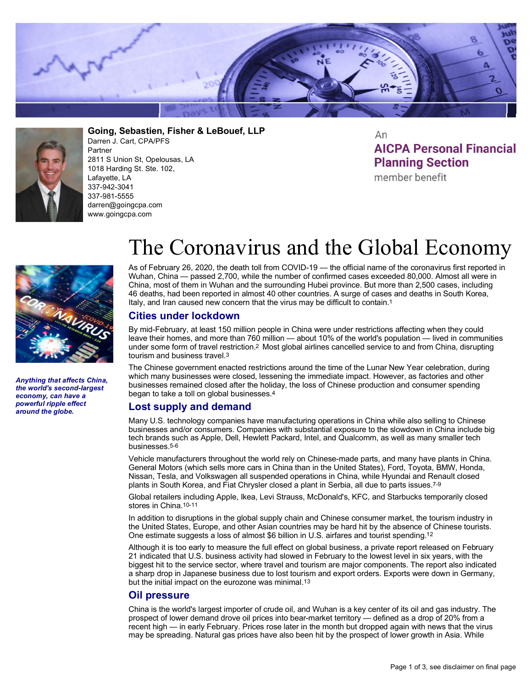



**Going, Sebastien, Fisher & LeBouef, LLP** Darren J. Cart, CPA/PFS Partner 2811 S Union St, Opelousas, LA 1018 Harding St. Ste. 102, Lafayette, LA 337-942-3041 337-981-5555 darren@goingcpa.com www.goingcpa.com

An **AICPA Personal Financial Planning Section** 

member benefit



*Anything that affects China, the world's second-largest economy, can have a powerful ripple effect around the globe.*

# The Coronavirus and the Global Economy

As of February 26, 2020, the death toll from COVID-19 — the official name of the coronavirus first reported in Wuhan, China — passed 2,700, while the number of confirmed cases exceeded 80,000. Almost all were in China, most of them in Wuhan and the surrounding Hubei province. But more than 2,500 cases, including 46 deaths, had been reported in almost 40 other countries. A surge of cases and deaths in South Korea, Italy, and Iran caused new concern that the virus may be difficult to contain.1

# **Cities under lockdown**

By mid-February, at least 150 million people in China were under restrictions affecting when they could leave their homes, and more than 760 million — about 10% of the world's population — lived in communities under some form of travel restriction.2 Most global airlines cancelled service to and from China, disrupting tourism and business travel.<sup>3</sup>

The Chinese government enacted restrictions around the time of the Lunar New Year celebration, during which many businesses were closed, lessening the immediate impact. However, as factories and other businesses remained closed after the holiday, the loss of Chinese production and consumer spending began to take a toll on global businesses.4

# **Lost supply and demand**

Many U.S. technology companies have manufacturing operations in China while also selling to Chinese businesses and/or consumers. Companies with substantial exposure to the slowdown in China include big tech brands such as Apple, Dell, Hewlett Packard, Intel, and Qualcomm, as well as many smaller tech businesses.5-6

Vehicle manufacturers throughout the world rely on Chinese-made parts, and many have plants in China. General Motors (which sells more cars in China than in the United States), Ford, Toyota, BMW, Honda, Nissan, Tesla, and Volkswagen all suspended operations in China, while Hyundai and Renault closed plants in South Korea, and Fiat Chrysler closed a plant in Serbia, all due to parts issues.7-9

Global retailers including Apple, Ikea, Levi Strauss, McDonald's, KFC, and Starbucks temporarily closed stores in China.10-11

In addition to disruptions in the global supply chain and Chinese consumer market, the tourism industry in the United States, Europe, and other Asian countries may be hard hit by the absence of Chinese tourists. One estimate suggests a loss of almost \$6 billion in U.S. airfares and tourist spending.12

Although it is too early to measure the full effect on global business, a private report released on February 21 indicated that U.S. business activity had slowed in February to the lowest level in six years, with the biggest hit to the service sector, where travel and tourism are major components. The report also indicated a sharp drop in Japanese business due to lost tourism and export orders. Exports were down in Germany, but the initial impact on the eurozone was minimal.13

### **Oil pressure**

China is the world's largest importer of crude oil, and Wuhan is a key center of its oil and gas industry. The prospect of lower demand drove oil prices into bear-market territory — defined as a drop of 20% from a recent high — in early February. Prices rose later in the month but dropped again with news that the virus may be spreading. Natural gas prices have also been hit by the prospect of lower growth in Asia. While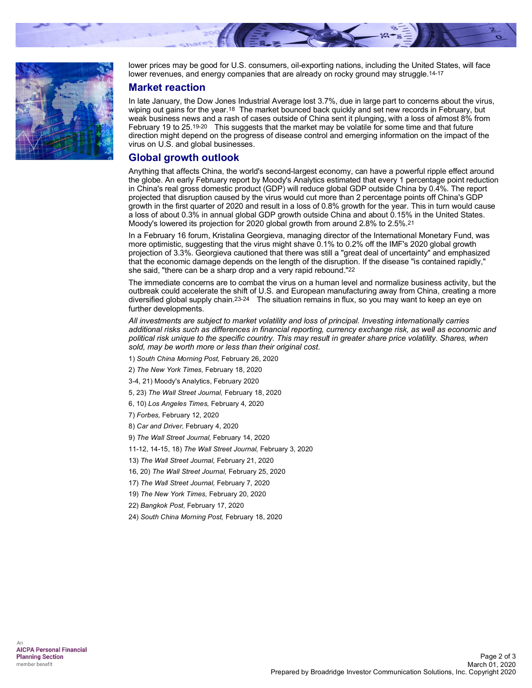



lower prices may be good for U.S. consumers, oil-exporting nations, including the United States, will face lower revenues, and energy companies that are already on rocky ground may struggle.14-17

#### **Market reaction**

In late January, the Dow Jones Industrial Average lost 3.7%, due in large part to concerns about the virus, wiping out gains for the year.18 The market bounced back quickly and set new records in February, but weak business news and a rash of cases outside of China sent it plunging, with a loss of almost 8% from February 19 to 25.19-20 This suggests that the market may be volatile for some time and that future direction might depend on the progress of disease control and emerging information on the impact of the virus on U.S. and global businesses.

# **Global growth outlook**

Anything that affects China, the world's second-largest economy, can have a powerful ripple effect around the globe. An early February report by Moody's Analytics estimated that every 1 percentage point reduction in China's real gross domestic product (GDP) will reduce global GDP outside China by 0.4%. The report projected that disruption caused by the virus would cut more than 2 percentage points off China's GDP growth in the first quarter of 2020 and result in a loss of 0.8% growth for the year. This in turn would cause a loss of about 0.3% in annual global GDP growth outside China and about 0.15% in the United States. Moody's lowered its projection for 2020 global growth from around 2.8% to 2.5%.21

In a February 16 forum, Kristalina Georgieva, managing director of the International Monetary Fund, was more optimistic, suggesting that the virus might shave 0.1% to 0.2% off the IMF's 2020 global growth projection of 3.3%. Georgieva cautioned that there was still a "great deal of uncertainty" and emphasized that the economic damage depends on the length of the disruption. If the disease "is contained rapidly," she said, "there can be a sharp drop and a very rapid rebound."22

The immediate concerns are to combat the virus on a human level and normalize business activity, but the outbreak could accelerate the shift of U.S. and European manufacturing away from China, creating a more diversified global supply chain.23-24 The situation remains in flux, so you may want to keep an eye on further developments.

*All investments are subject to market volatility and loss of principal. Investing internationally carries additional risks such as differences in financial reporting, currency exchange risk, as well as economic and political risk unique to the specific country. This may result in greater share price volatility. Shares, when sold, may be worth more or less than their original cost.*

- 1) *South China Morning Post,* February 26, 2020
- 2) *The New York Times,* February 18, 2020
- 3-4, 21) Moody's Analytics, February 2020
- 5, 23) *The Wall Street Journal,* February 18, 2020
- 6, 10) *Los Angeles Times,* February 4, 2020
- 7) *Forbes,* February 12, 2020
- 8) *Car and Driver,* February 4, 2020
- 9) *The Wall Street Journal,* February 14, 2020
- 11-12, 14-15, 18) *The Wall Street Journal,* February 3, 2020
- 13) *The Wall Street Journal,* February 21, 2020
- 16, 20) *The Wall Street Journal,* February 25, 2020
- 17) *The Wall Street Journal,* February 7, 2020
- 19) *The New York Times,* February 20, 2020
- 22) *Bangkok Post,* February 17, 2020
- 24) *South China Morning Post,* February 18, 2020